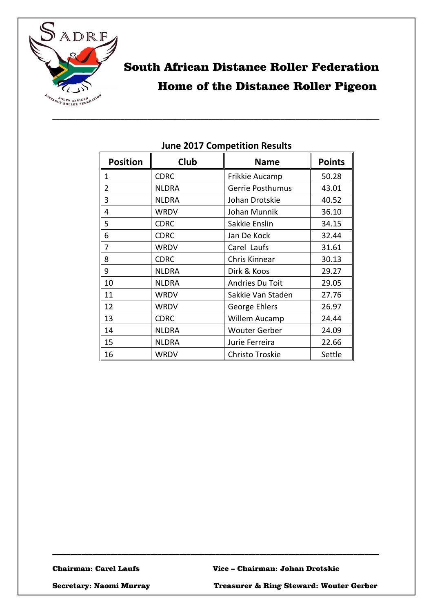

# South African Distance Roller Federation Home of the Distance Roller Pigeon

| <b>Position</b> | Club         | <b>Name</b>          | <b>Points</b> |
|-----------------|--------------|----------------------|---------------|
| 1               | <b>CDRC</b>  | Frikkie Aucamp       | 50.28         |
| $\overline{2}$  | <b>NLDRA</b> | Gerrie Posthumus     | 43.01         |
| 3               | <b>NLDRA</b> | Johan Drotskie       | 40.52         |
| 4               | <b>WRDV</b>  | Johan Munnik         | 36.10         |
| 5               | <b>CDRC</b>  | Sakkie Enslin        | 34.15         |
| 6               | <b>CDRC</b>  | Jan De Kock          | 32.44         |
| 7               | <b>WRDV</b>  | Carel Laufs          | 31.61         |
| 8               | <b>CDRC</b>  | Chris Kinnear        | 30.13         |
| 9               | <b>NLDRA</b> | Dirk & Koos          | 29.27         |
| 10              | <b>NLDRA</b> | Andries Du Toit      | 29.05         |
| 11              | <b>WRDV</b>  | Sakkie Van Staden    | 27.76         |
| 12              | WRDV         | George Ehlers        | 26.97         |
| 13              | <b>CDRC</b>  | Willem Aucamp        | 24.44         |
| 14              | <b>NLDRA</b> | <b>Wouter Gerber</b> | 24.09         |
| 15              | <b>NLDRA</b> | Jurie Ferreira       | 22.66         |
| 16              | WRDV         | Christo Troskie      | Settle        |

#### **June 2017 Competition Results**

\_\_\_\_\_\_\_\_\_\_\_\_\_\_\_\_\_\_\_\_\_\_\_\_\_\_\_\_\_\_\_\_\_\_\_\_\_\_\_\_\_\_\_\_\_\_\_\_\_\_\_\_\_\_\_\_\_\_\_\_\_\_\_\_\_\_\_\_\_\_\_\_\_\_\_\_\_\_\_\_\_\_\_\_\_\_

\_\_\_\_\_\_\_\_\_\_\_\_\_\_\_\_\_\_\_\_\_\_\_\_\_\_\_\_\_\_\_\_\_\_\_\_\_\_\_\_\_\_\_\_\_\_\_\_\_\_\_\_\_\_\_\_\_\_\_\_\_\_\_\_\_\_\_\_\_\_\_\_\_\_\_\_\_\_\_\_\_\_\_\_\_\_\_\_\_\_

Secretary: Naomi Murray Treasurer & Ring Steward: Wouter Gerber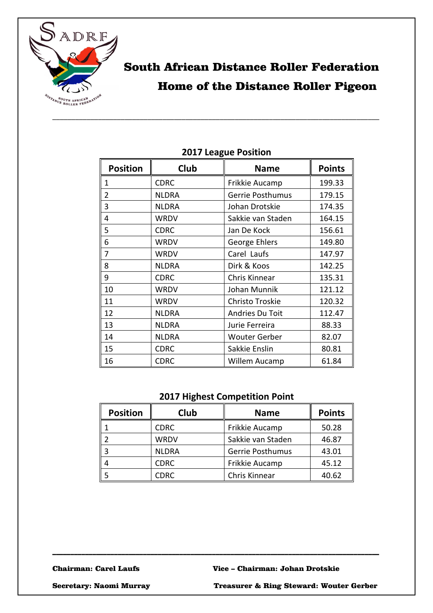

# South African Distance Roller Federation Home of the Distance Roller Pigeon

| ווטוונט ו שמשה ובשב |              |                         |               |  |
|---------------------|--------------|-------------------------|---------------|--|
| <b>Position</b>     | Club         | <b>Name</b>             | <b>Points</b> |  |
| 1                   | <b>CDRC</b>  | Frikkie Aucamp          | 199.33        |  |
| $\overline{2}$      | <b>NLDRA</b> | <b>Gerrie Posthumus</b> | 179.15        |  |
| 3                   | <b>NLDRA</b> | Johan Drotskie          | 174.35        |  |
| 4                   | <b>WRDV</b>  | Sakkie van Staden       | 164.15        |  |
| 5                   | <b>CDRC</b>  | Jan De Kock             | 156.61        |  |
| 6                   | <b>WRDV</b>  | George Ehlers           | 149.80        |  |
| 7                   | <b>WRDV</b>  | Carel Laufs             | 147.97        |  |
| 8                   | <b>NLDRA</b> | Dirk & Koos             | 142.25        |  |
| 9                   | <b>CDRC</b>  | Chris Kinnear           | 135.31        |  |
| 10                  | <b>WRDV</b>  | Johan Munnik            | 121.12        |  |
| 11                  | <b>WRDV</b>  | Christo Troskie         | 120.32        |  |
| 12                  | <b>NLDRA</b> | Andries Du Toit         | 112.47        |  |
| 13                  | <b>NLDRA</b> | Jurie Ferreira          | 88.33         |  |
| 14                  | <b>NLDRA</b> | <b>Wouter Gerber</b>    | 82.07         |  |
| 15                  | <b>CDRC</b>  | Sakkie Enslin           | 80.81         |  |
| 16                  | <b>CDRC</b>  | Willem Aucamp           | 61.84         |  |

### **2017 League Position**

### **2017 Highest Competition Point**

| <b>Position</b> | Club         | <b>Name</b>             | <b>Points</b> |
|-----------------|--------------|-------------------------|---------------|
|                 | <b>CDRC</b>  | Frikkie Aucamp          | 50.28         |
|                 | <b>WRDV</b>  | Sakkie van Staden       | 46.87         |
|                 | <b>NLDRA</b> | <b>Gerrie Posthumus</b> | 43.01         |
|                 | <b>CDRC</b>  | Frikkie Aucamp          | 45.12         |
|                 | CDRC         | Chris Kinnear           | 40.62         |

\_\_\_\_\_\_\_\_\_\_\_\_\_\_\_\_\_\_\_\_\_\_\_\_\_\_\_\_\_\_\_\_\_\_\_\_\_\_\_\_\_\_\_\_\_\_\_\_\_\_\_\_\_\_\_\_\_\_\_\_\_\_\_\_\_\_\_\_\_\_\_\_\_\_\_\_\_\_\_\_\_\_\_\_\_\_\_\_\_\_

Secretary: Naomi Murray Treasurer & Ring Steward: Wouter Gerber